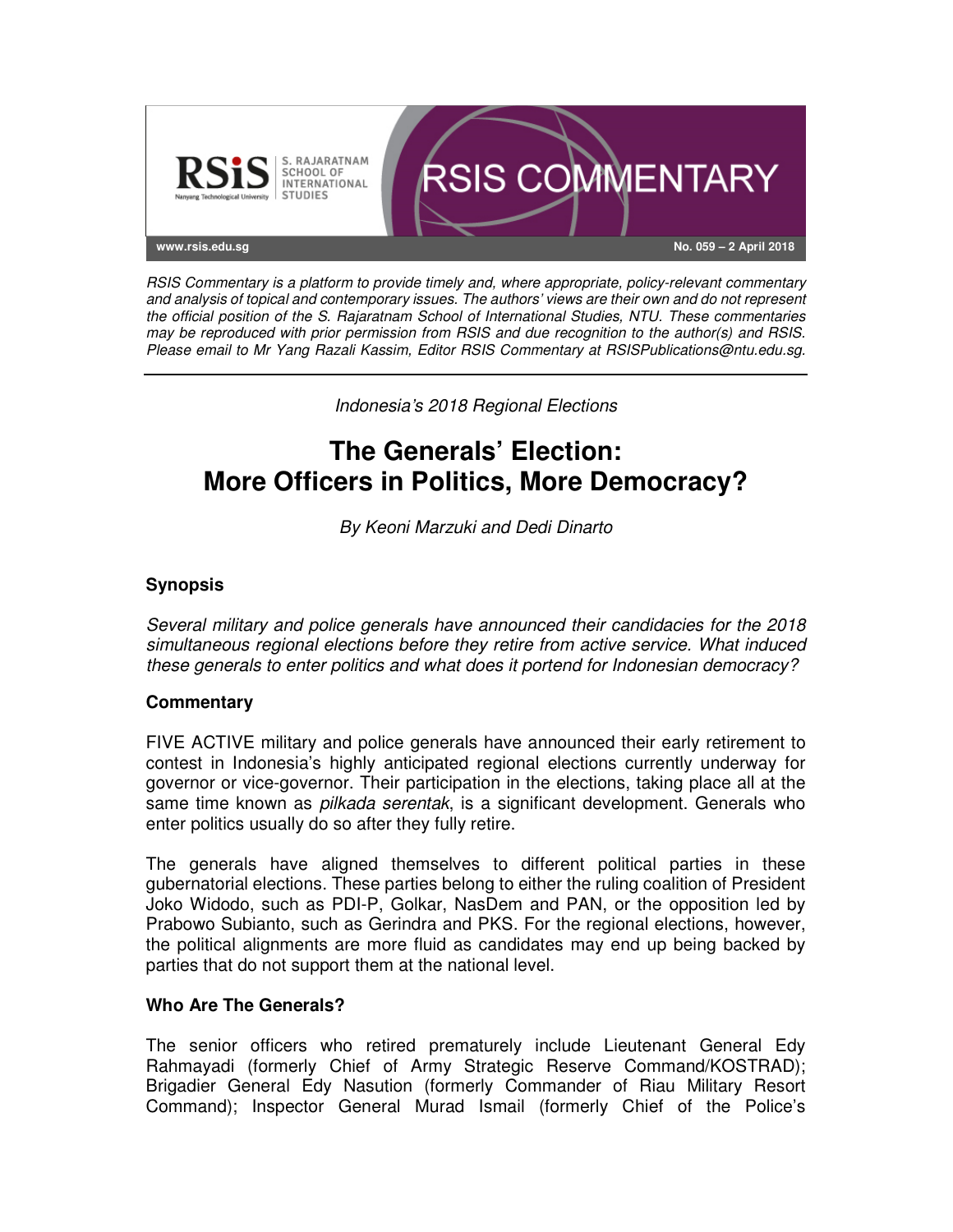

RSIS Commentary is a platform to provide timely and, where appropriate, policy-relevant commentary and analysis of topical and contemporary issues. The authors' views are their own and do not represent the official position of the S. Rajaratnam School of International Studies, NTU. These commentaries may be reproduced with prior permission from RSIS and due recognition to the author(s) and RSIS. Please email to Mr Yang Razali Kassim, Editor RSIS Commentary at RSISPublications@ntu.edu.sg.

Indonesia's 2018 Regional Elections

# **The Generals' Election: More Officers in Politics, More Democracy?**

By Keoni Marzuki and Dedi Dinarto

## **Synopsis**

Several military and police generals have announced their candidacies for the 2018 simultaneous regional elections before they retire from active service. What induced these generals to enter politics and what does it portend for Indonesian democracy?

## **Commentary**

FIVE ACTIVE military and police generals have announced their early retirement to contest in Indonesia's highly anticipated regional elections currently underway for governor or vice-governor. Their participation in the elections, taking place all at the same time known as *pilkada serentak*, is a significant development. Generals who enter politics usually do so after they fully retire.

The generals have aligned themselves to different political parties in these gubernatorial elections. These parties belong to either the ruling coalition of President Joko Widodo, such as PDI-P, Golkar, NasDem and PAN, or the opposition led by Prabowo Subianto, such as Gerindra and PKS. For the regional elections, however, the political alignments are more fluid as candidates may end up being backed by parties that do not support them at the national level.

## **Who Are The Generals?**

The senior officers who retired prematurely include Lieutenant General Edy Rahmayadi (formerly Chief of Army Strategic Reserve Command/KOSTRAD); Brigadier General Edy Nasution (formerly Commander of Riau Military Resort Command); Inspector General Murad Ismail (formerly Chief of the Police's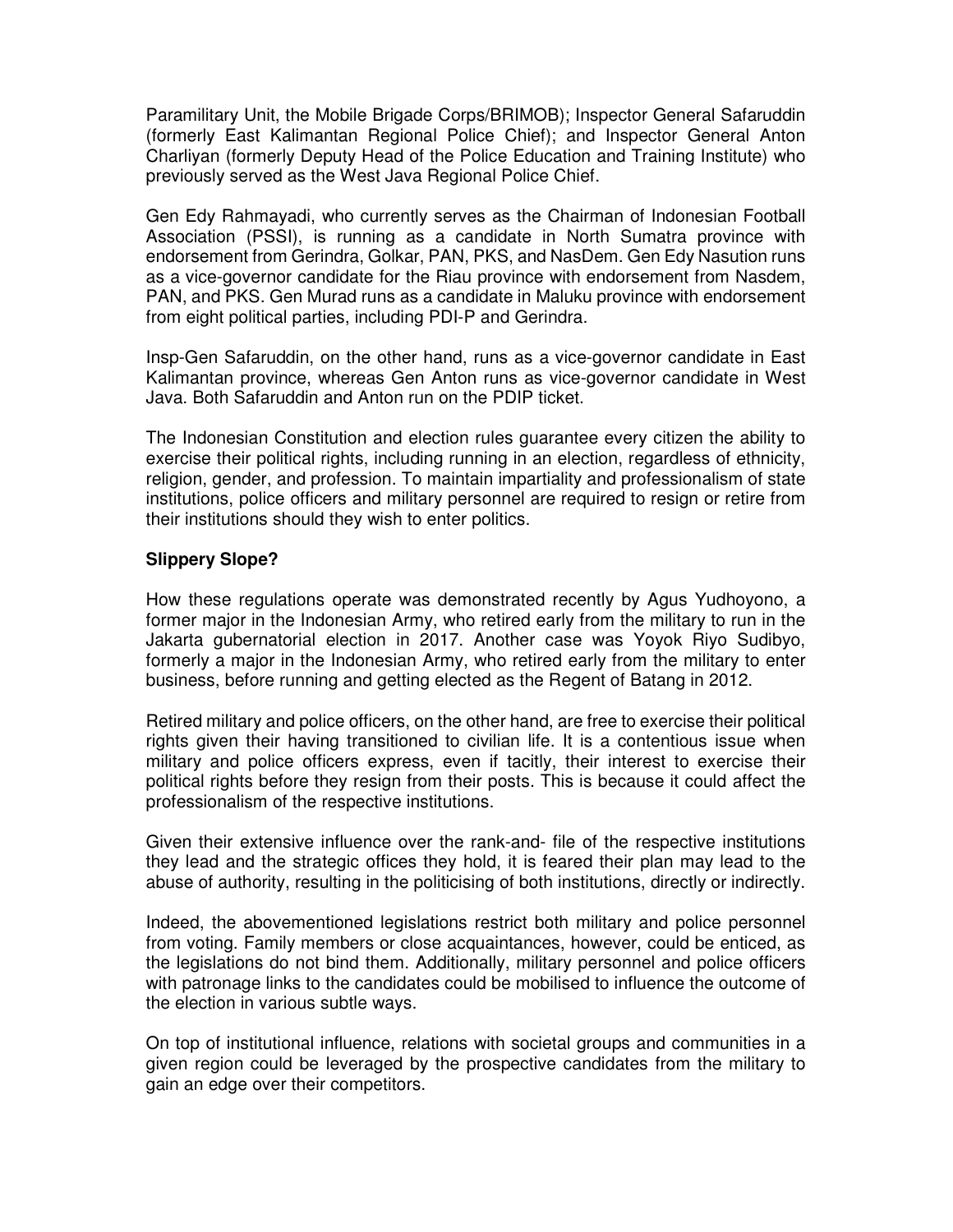Paramilitary Unit, the Mobile Brigade Corps/BRIMOB); Inspector General Safaruddin (formerly East Kalimantan Regional Police Chief); and Inspector General Anton Charliyan (formerly Deputy Head of the Police Education and Training Institute) who previously served as the West Java Regional Police Chief.

Gen Edy Rahmayadi, who currently serves as the Chairman of Indonesian Football Association (PSSI), is running as a candidate in North Sumatra province with endorsement from Gerindra, Golkar, PAN, PKS, and NasDem. Gen Edy Nasution runs as a vice-governor candidate for the Riau province with endorsement from Nasdem, PAN, and PKS. Gen Murad runs as a candidate in Maluku province with endorsement from eight political parties, including PDI-P and Gerindra.

Insp-Gen Safaruddin, on the other hand, runs as a vice-governor candidate in East Kalimantan province, whereas Gen Anton runs as vice-governor candidate in West Java. Both Safaruddin and Anton run on the PDIP ticket.

The Indonesian Constitution and election rules guarantee every citizen the ability to exercise their political rights, including running in an election, regardless of ethnicity, religion, gender, and profession. To maintain impartiality and professionalism of state institutions, police officers and military personnel are required to resign or retire from their institutions should they wish to enter politics.

## **Slippery Slope?**

How these regulations operate was demonstrated recently by Agus Yudhoyono, a former major in the Indonesian Army, who retired early from the military to run in the Jakarta gubernatorial election in 2017. Another case was Yoyok Riyo Sudibyo, formerly a major in the Indonesian Army, who retired early from the military to enter business, before running and getting elected as the Regent of Batang in 2012.

Retired military and police officers, on the other hand, are free to exercise their political rights given their having transitioned to civilian life. It is a contentious issue when military and police officers express, even if tacitly, their interest to exercise their political rights before they resign from their posts. This is because it could affect the professionalism of the respective institutions.

Given their extensive influence over the rank-and- file of the respective institutions they lead and the strategic offices they hold, it is feared their plan may lead to the abuse of authority, resulting in the politicising of both institutions, directly or indirectly.

Indeed, the abovementioned legislations restrict both military and police personnel from voting. Family members or close acquaintances, however, could be enticed, as the legislations do not bind them. Additionally, military personnel and police officers with patronage links to the candidates could be mobilised to influence the outcome of the election in various subtle ways.

On top of institutional influence, relations with societal groups and communities in a given region could be leveraged by the prospective candidates from the military to gain an edge over their competitors.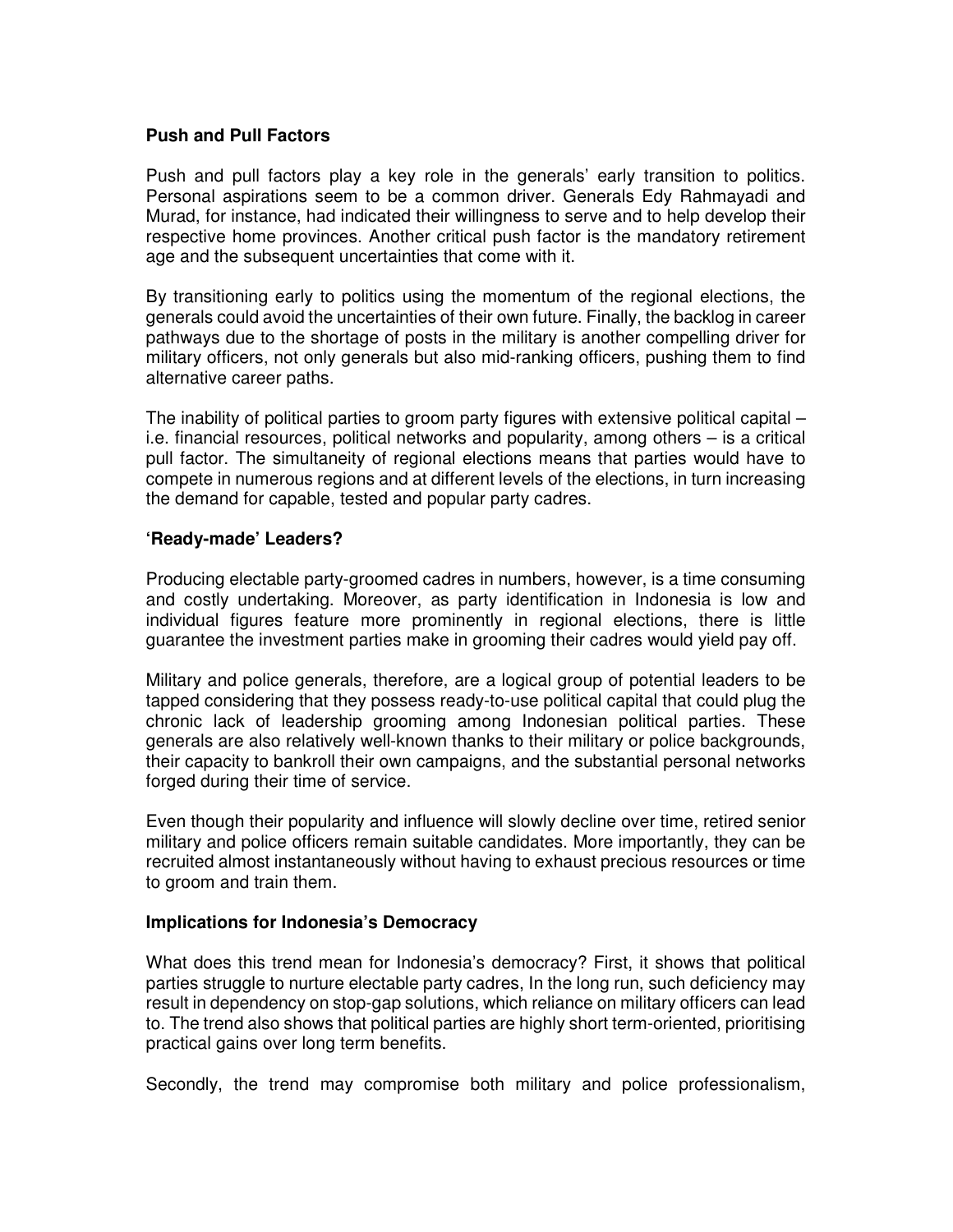#### **Push and Pull Factors**

Push and pull factors play a key role in the generals' early transition to politics. Personal aspirations seem to be a common driver. Generals Edy Rahmayadi and Murad, for instance, had indicated their willingness to serve and to help develop their respective home provinces. Another critical push factor is the mandatory retirement age and the subsequent uncertainties that come with it.

By transitioning early to politics using the momentum of the regional elections, the generals could avoid the uncertainties of their own future. Finally, the backlog in career pathways due to the shortage of posts in the military is another compelling driver for military officers, not only generals but also mid-ranking officers, pushing them to find alternative career paths.

The inability of political parties to groom party figures with extensive political capital – i.e. financial resources, political networks and popularity, among others – is a critical pull factor. The simultaneity of regional elections means that parties would have to compete in numerous regions and at different levels of the elections, in turn increasing the demand for capable, tested and popular party cadres.

#### **'Ready-made' Leaders?**

Producing electable party-groomed cadres in numbers, however, is a time consuming and costly undertaking. Moreover, as party identification in Indonesia is low and individual figures feature more prominently in regional elections, there is little guarantee the investment parties make in grooming their cadres would yield pay off.

Military and police generals, therefore, are a logical group of potential leaders to be tapped considering that they possess ready-to-use political capital that could plug the chronic lack of leadership grooming among Indonesian political parties. These generals are also relatively well-known thanks to their military or police backgrounds, their capacity to bankroll their own campaigns, and the substantial personal networks forged during their time of service.

Even though their popularity and influence will slowly decline over time, retired senior military and police officers remain suitable candidates. More importantly, they can be recruited almost instantaneously without having to exhaust precious resources or time to groom and train them.

## **Implications for Indonesia's Democracy**

What does this trend mean for Indonesia's democracy? First, it shows that political parties struggle to nurture electable party cadres, In the long run, such deficiency may result in dependency on stop-gap solutions, which reliance on military officers can lead to. The trend also shows that political parties are highly short term-oriented, prioritising practical gains over long term benefits.

Secondly, the trend may compromise both military and police professionalism,